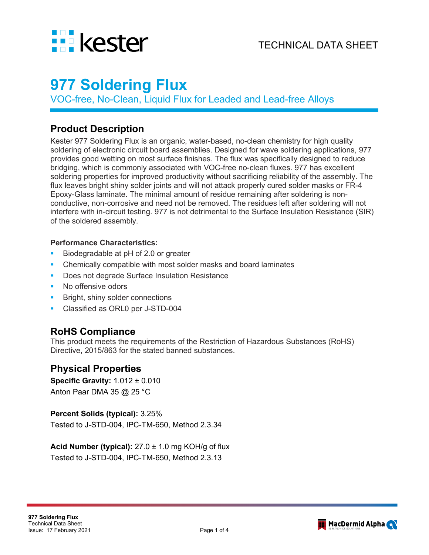

# **977 Soldering Flux**

VOC-free, No-Clean, Liquid Flux for Leaded and Lead-free Alloys

### **Product Description**

Kester 977 Soldering Flux is an organic, water-based, no-clean chemistry for high quality soldering of electronic circuit board assemblies. Designed for wave soldering applications, 977 provides good wetting on most surface finishes. The flux was specifically designed to reduce bridging, which is commonly associated with VOC-free no-clean fluxes. 977 has excellent soldering properties for improved productivity without sacrificing reliability of the assembly. The flux leaves bright shiny solder joints and will not attack properly cured solder masks or FR-4 Epoxy-Glass laminate. The minimal amount of residue remaining after soldering is nonconductive, non-corrosive and need not be removed. The residues left after soldering will not interfere with in-circuit testing. 977 is not detrimental to the Surface Insulation Resistance (SIR) of the soldered assembly.

#### **Performance Characteristics:**

- Biodegradable at pH of 2.0 or greater
- Chemically compatible with most solder masks and board laminates
- Does not degrade Surface Insulation Resistance
- No offensive odors
- Bright, shiny solder connections
- **Classified as ORL0 per J-STD-004**

### **RoHS Compliance**

This product meets the requirements of the Restriction of Hazardous Substances (RoHS) Directive, 2015/863 for the stated banned substances.

### **Physical Properties**

**Specific Gravity:** 1.012 ± 0.010 Anton Paar DMA 35 @ 25 °C

#### **Percent Solids (typical):** 3.25%

Tested to J-STD-004, IPC-TM-650, Method 2.3.34

**Acid Number (typical):** 27.0 ± 1.0 mg KOH/g of flux Tested to J-STD-004, IPC-TM-650, Method 2.3.13

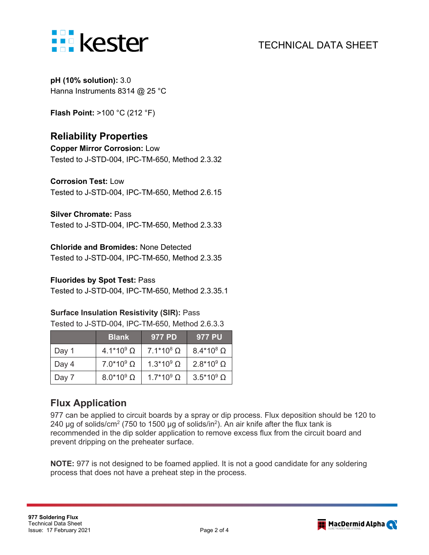

**pH (10% solution):** 3.0 Hanna Instruments 8314 @ 25 °C

**Flash Point:** >100 °C (212 °F)

## **Reliability Properties**

**Copper Mirror Corrosion:** Low Tested to J-STD-004, IPC-TM-650, Method 2.3.32

**Corrosion Test:** Low

Tested to J-STD-004, IPC-TM-650, Method 2.6.15

#### **Silver Chromate:** Pass

Tested to J-STD-004, IPC-TM-650, Method 2.3.33

#### **Chloride and Bromides:** None Detected

Tested to J-STD-004, IPC-TM-650, Method 2.3.35

#### **Fluorides by Spot Test:** Pass

Tested to J-STD-004, IPC-TM-650, Method 2.3.35.1

#### **Surface Insulation Resistivity (SIR):** Pass

Tested to J-STD-004, IPC-TM-650, Method 2.6.3.3

|       | 'Blank              | 977 PD              | 977 PU              |
|-------|---------------------|---------------------|---------------------|
| Day 1 | $4.1*10^{9} \Omega$ | $7.1*10^8$ $\Omega$ | $8.4*10^8$ $\Omega$ |
| Day 4 | $7.0*109$ $\Omega$  | $1.3*109$ $\Omega$  | $2.8*109$ $\Omega$  |
| Day 7 | $8.0*10^9$ $\Omega$ | $1.7*10^9$ $\Omega$ | $3.5*10^9$ $\Omega$ |

### **Flux Application**

977 can be applied to circuit boards by a spray or dip process. Flux deposition should be 120 to 240 μg of solids/cm<sup>2</sup> (750 to 1500 μg of solids/in<sup>2</sup>). An air knife after the flux tank is recommended in the dip solder application to remove excess flux from the circuit board and prevent dripping on the preheater surface.

**NOTE:** 977 is not designed to be foamed applied. It is not a good candidate for any soldering process that does not have a preheat step in the process.

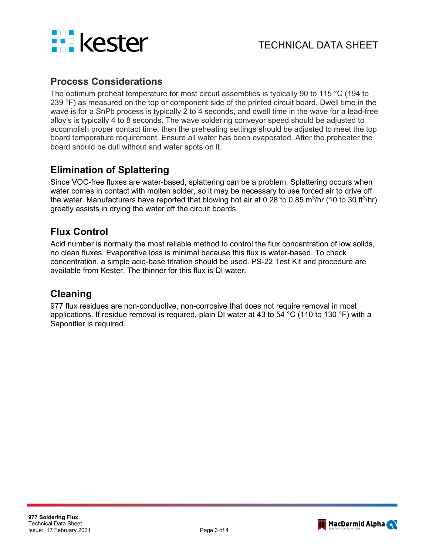

### **Process Considerations**

The optimum preheat temperature for most circuit assemblies is typically 90 to 115 °C (194 to 239 °F) as measured on the top or component side of the printed circuit board. Dwell time in the wave is for a SnPb process is typically 2 to 4 seconds, and dwell time in the wave for a lead-free alloy's is typically 4 to 8 seconds. The wave soldering conveyor speed should be adjusted to accomplish proper contact time, then the preheating settings should be adjusted to meet the top board temperature requirement. Ensure all water has been evaporated. After the preheater the board should be dull without and water spots on it.

### **Elimination of Splattering**

Since VOC-free fluxes are water-based, splattering can be a problem. Splattering occurs when water comes in contact with molten solder, so it may be necessary to use forced air to drive off the water. Manufacturers have reported that blowing hot air at 0.28 to 0.85 m<sup>3</sup>/hr (10 to 30 ft<sup>3</sup>/hr) greatly assists in drying the water off the circuit boards.

### **Flux Control**

Acid number is normally the most reliable method to control the flux concentration of low solids, no clean fluxes. Evaporative loss is minimal because this flux is water-based. To check concentration, a simple acid-base titration should be used. PS-22 Test Kit and procedure are available from Kester. The thinner for this flux is DI water.

### **Cleaning**

977 flux residues are non-conductive, non-corrosive that does not require removal in most applications. If residue removal is required, plain DI water at 43 to 54 °C (110 to 130 °F) with a Saponifier is required.